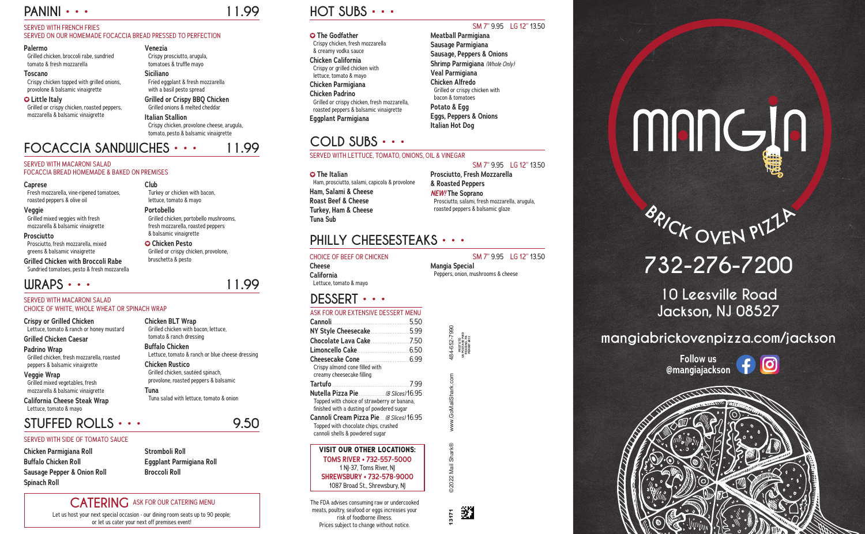# **PANINI • • • 11.99**

## SERVED WITH FRENCH FRIES

#### SERVED ON OUR HOMEMADE FOCACCIA BREAD PRESSED TO PERFECTION

#### **Palermo**

Grilled chicken, broccoli rabe, sundried tomato & fresh mozzarella

#### **Toscano**

Crispy chicken topped with grilled onions, provolone & balsamic vinaigrette

#### **Little Italy**

Grilled or crispy chicken, roasted peppers, mozzarella & balsamic vinaigrette

# **Venezia**

Crispy prosciutto, arugula, tomatoes & truffle mayo

## **Siciliano**

Fried eggplant & fresh mozzarella with a basil pesto spread **Grilled or Crispy BBQ Chicken**

Grilled onions & melted cheddar

# **Italian Stallion**

Crispy chicken, provolone cheese, arugula, tomato, pesto & balsamic vinaigrette

# **DESSERT • • •**

## ASK FOR OUR EXTENSIVE DESSERT MENU

- **O** The Italian
- Ham, prosciutto, salami, capicola & provolone **Ham, Salami & Cheese Roast Beef & Cheese Turkey, Ham & Cheese Tuna Sub**

**HOT SUBS • • •**

## SM 7" 9.95 LG 12" 13.50

# **The Godfather**

Crispy chicken, fresh mozzarella & creamy vodka sauce **Chicken California** Crispy or grilled chicken with lettuce, tomato & mayo **Chicken Parmigiana Chicken Padrino**

#### Grilled or crispy chicken, fresh mozzarella, roasted peppers & balsamic vinaigrette

**Eggplant Parmigiana**

**Meatball Parmigiana Sausage Parmigiana Sausage, Peppers & Onions Shrimp Parmigiana** *(Whole Only)* **Veal Parmigiana Chicken Alfredo** Grilled or crispy chicken with bacon & tomatoes

**Potato & Egg Eggs, Peppers & Onions Italian Hot Dog**

# **COLD SUBS • • •**

### SERVED WITH LETTUCE, TOMATO, ONIONS, OIL & VINEGAR

SM 7" 9.95 LG 12" 13.50

13171 ©2022 Mail Shark® www.GoMailShark.com 484-652-7990 Shark **D2022 Mail** 

逖

**Prosciutto, Fresh Mozzarella & Roasted Peppers** *NEW!* **The Soprano** Prosciutto, salami, fresh mozzarella, arugula, roasted peppers & balsamic glaze

## **FOCACCIA SANDWICHES • • • 11.99** SERVED WITH MACARONI SALAD

## FOCACCIA BREAD HOMEMADE & BAKED ON PREMISES

#### **Caprese**

| <b>NY Style Cheesecake</b> 5.99                             |  |
|-------------------------------------------------------------|--|
| Chocolate Lava Cake 7.50                                    |  |
|                                                             |  |
|                                                             |  |
| Crispy almond cone filled with<br>creamy cheesecake filling |  |
|                                                             |  |
| Nutella Pizza Pie  (8 Slices) 16.95                         |  |
| Topped with choice of strawberry or banana,                 |  |
| finished with a dusting of powdered sugar                   |  |
| <b>Cannoli Cream Pizza Pie</b> (8 Slices) 16.95             |  |
| Topped with chocolate chips, crushed                        |  |
| cannoli shells & powdered sugar                             |  |
| <b>VISIT OUR OTHER LOCATIONS:</b>                           |  |
| <b>TOMS RIVER • 732-557-5000</b>                            |  |
| 1 NJ-37, Toms River, NJ                                     |  |

Fresh mozzarella, vine-ripened tomatoes, roasted peppers & olive oil

#### **Veggie**

Grilled mixed veggies with fresh mozzarella & balsamic vinaigrette

**Prosciutto** Prosciutto, fresh mozzarella, mixed greens & balsamic vinaigrette

**Grilled Chicken with Broccoli Rabe** Sundried tomatoes, pesto & fresh mozzarella **Club**

Turkey or chicken with bacon, lettuce, tomato & mayo

**Portobello**

Grilled chicken, portobello mushrooms, fresh mozzarella, roasted peppers

& balsamic vinaigrette  **Chicken Pesto**

Grilled or crispy chicken, provolone,

# mangin

# **BAICK OVEN PILL!**

bruschetta & pesto

# **STUFFED ROLLS • • • 9.50**

## SERVED WITH SIDE OF TOMATO SAUCE

**Chicken Parmigiana Roll Buffalo Chicken Roll Sausage Pepper & Onion Roll Spinach Roll**

**Stromboli Roll Eggplant Parmigiana Roll Broccoli Roll**

# **CATERING** ASK FOR OUR CATERING MENU

# **WRAPS • • • 11.99**

#### SERVED WITH MACARONI SALAD CHOICE OF WHITE, WHOLE WHEAT OR SPINACH WRAP

**Crispy or Grilled Chicken** Lettuce, tomato & ranch or honey mustard

**Grilled Chicken Caesar**

#### **Padrino Wrap** Grilled chicken, fresh mozzarella, roasted peppers & balsamic vinaigrette

**Veggie Wrap** Grilled mixed vegetables, fresh mozzarella & balsamic vinaigrette

**California Cheese Steak Wrap** Lettuce, tomato & mayo

**Chicken BLT Wrap**

Grilled chicken with bacon, lettuce, tomato & ranch dressing

# **Buffalo Chicken** Lettuce, tomato & ranch or blue cheese dressing

**Chicken Rustico** Grilled chicken, sautéed spinach, provolone, roasted peppers & balsamic

**Tuna** Tuna salad with lettuce, tomato & onion





# **PHILLY CHEESESTEAKS • • •**

## CHOICE OF BEEF OR CHICKEN SM 7" 9.95 LG 12" 13.50

**Cheese California** Lettuce, tomato & mayo **Mangia Special**

Peppers, onion, mushrooms & cheese



Let us host your next special occasion - our dining room seats up to 90 people; or let us cater your next off premises event!

# **732-276-7200**

# **10 Leesville Road Jackson, NJ 08527**

# **mangiabrickovenpizza.com/jackson**

**SHREWSBURY • 732-578-9000** 1087 Broad St., Shrewsbury, NJ

້ທ

The FDA advises consuming raw or undercooked meats, poultry, seafood or eggs increases your risk of foodborne illness. Prices subject to change without notice.

**Follow us @mangiajackson**



**PRST STD US POSTAGE PAID READING, PA PERMIT #412**

**PRST STD<br>POSTAGE PAII<br>READING, PA<br>PERMIT #412**